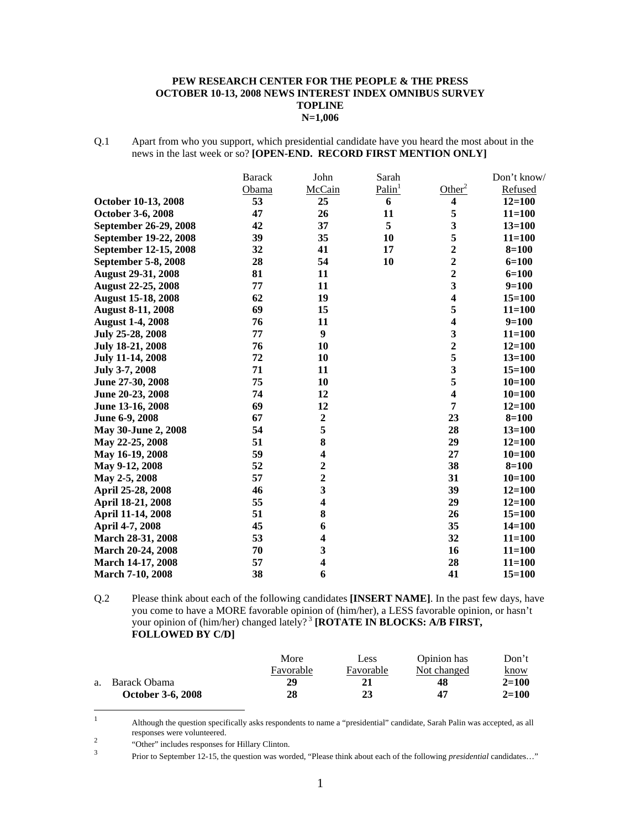#### **PEW RESEARCH CENTER FOR THE PEOPLE & THE PRESS OCTOBER 10-13, 2008 NEWS INTEREST INDEX OMNIBUS SURVEY TOPLINE N=1,006**

Q.1 Apart from who you support, which presidential candidate have you heard the most about in the news in the last week or so? **[OPEN-END. RECORD FIRST MENTION ONLY]** 

|                           | <b>Barack</b> | John                    | Sarah              |                         | Don't know/ |
|---------------------------|---------------|-------------------------|--------------------|-------------------------|-------------|
|                           | Obama         | McCain                  | Palin <sup>1</sup> | Other <sup>2</sup>      | Refused     |
| October 10-13, 2008       | 53            | 25                      | 6                  | 4                       | $12 = 100$  |
| October 3-6, 2008         | 47            | 26                      | 11                 | 5                       | $11 = 100$  |
| September 26-29, 2008     | 42            | 37                      | 5                  | 3                       | $13 = 100$  |
| September 19-22, 2008     | 39            | 35                      | 10                 | 5                       | $11 = 100$  |
| September 12-15, 2008     | 32            | 41                      | 17                 | $\overline{2}$          | $8 = 100$   |
| September 5-8, 2008       | 28            | 54                      | 10                 | $\mathbf{2}$            | $6 = 100$   |
| <b>August 29-31, 2008</b> | 81            | 11                      |                    | $\overline{2}$          | $6 = 100$   |
| <b>August 22-25, 2008</b> | 77            | 11                      |                    | 3                       | $9=100$     |
| <b>August 15-18, 2008</b> | 62            | 19                      |                    | $\overline{\mathbf{4}}$ | $15 = 100$  |
| <b>August 8-11, 2008</b>  | 69            | 15                      |                    | 5                       | $11 = 100$  |
| <b>August 1-4, 2008</b>   | 76            | 11                      |                    | $\overline{\mathbf{4}}$ | $9=100$     |
| July 25-28, 2008          | 77            | 9                       |                    | 3                       | $11 = 100$  |
| July 18-21, 2008          | 76            | 10                      |                    | $\overline{2}$          | $12 = 100$  |
| <b>July 11-14, 2008</b>   | 72            | 10                      |                    | 5                       | $13 = 100$  |
| July 3-7, 2008            | 71            | 11                      |                    | $\overline{\mathbf{3}}$ | $15 = 100$  |
| June 27-30, 2008          | 75            | 10                      |                    | 5                       | $10=100$    |
| June 20-23, 2008          | 74            | 12                      |                    | $\overline{\mathbf{4}}$ | $10=100$    |
| June 13-16, 2008          | 69            | 12                      |                    | 7                       | $12 = 100$  |
| June 6-9, 2008            | 67            | $\boldsymbol{2}$        |                    | 23                      | $8 = 100$   |
| May 30-June 2, 2008       | 54            | 5                       |                    | 28                      | $13 = 100$  |
| May 22-25, 2008           | 51            | 8                       |                    | 29                      | $12 = 100$  |
| May 16-19, 2008           | 59            | $\overline{\mathbf{4}}$ |                    | 27                      | $10 = 100$  |
| May 9-12, 2008            | 52            | $\overline{\mathbf{c}}$ |                    | 38                      | $8 = 100$   |
| May 2-5, 2008             | 57            | $\overline{2}$          |                    | 31                      | $10 = 100$  |
| April 25-28, 2008         | 46            | $\overline{\mathbf{3}}$ |                    | 39                      | $12 = 100$  |
| April 18-21, 2008         | 55            | $\overline{\mathbf{4}}$ |                    | 29                      | $12 = 100$  |
| April 11-14, 2008         | 51            | 8                       |                    | 26                      | $15 = 100$  |
| April 4-7, 2008           | 45            | 6                       |                    | 35                      | $14 = 100$  |
| <b>March 28-31, 2008</b>  | 53            | $\overline{\mathbf{4}}$ |                    | 32                      | $11 = 100$  |
| March 20-24, 2008         | 70            | 3                       |                    | 16                      | $11 = 100$  |
| March 14-17, 2008         | 57            | $\overline{\mathbf{4}}$ |                    | 28                      | $11 = 100$  |
| <b>March 7-10, 2008</b>   | 38            | 6                       |                    | 41                      | $15 = 100$  |

Q.2 Please think about each of the following candidates **[INSERT NAME]**. In the past few days, have you come to have a MORE favorable opinion of (him/her), a LESS favorable opinion, or hasn't your opinion of (him/her) changed lately?<sup>3</sup> **[ROTATE IN BLOCKS: A/B FIRST, FOLLOWED BY C/D]**

|    |                          | More      | Less      | Opinion has | Don't       |
|----|--------------------------|-----------|-----------|-------------|-------------|
|    |                          | Favorable | Favorable | Not changed | <u>know</u> |
| a. | Barack Obama             | 29        | 21        | 48          | $2 = 100$   |
|    | <b>October 3-6, 2008</b> | 28        | 23        | 47          | $2 = 100$   |

 $\frac{1}{1}$  Although the question specifically asks respondents to name a "presidential" candidate, Sarah Palin was accepted, as all responses were volunteered. 2

"Other" includes responses for Hillary Clinton.

Prior to September 12-15, the question was worded, "Please think about each of the following *presidential* candidates…"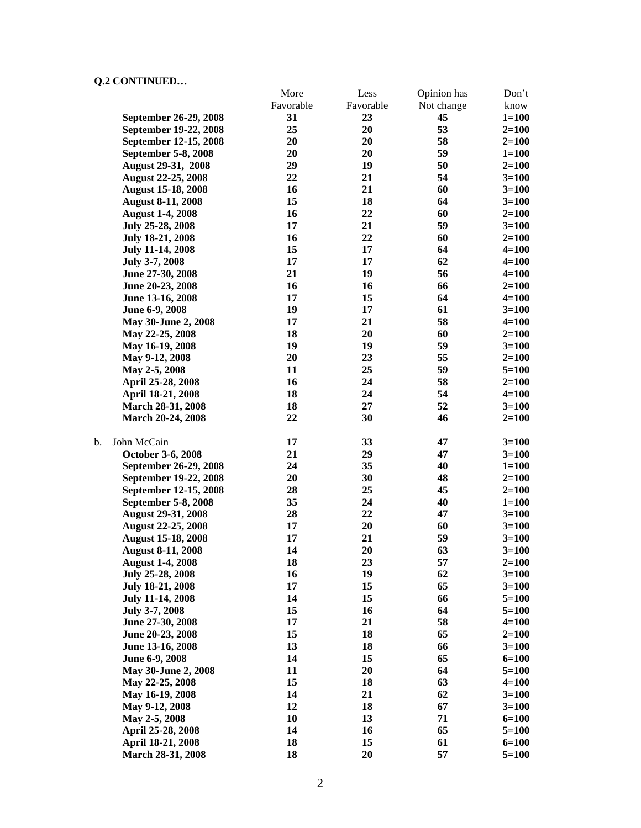$\mathbf b$ .

| Q.4 CONTINUED              |           |           |             |           |
|----------------------------|-----------|-----------|-------------|-----------|
|                            | More      | Less      | Opinion has | Don't     |
|                            | Favorable | Favorable | Not change  | know      |
| September 26-29, 2008      | 31        | 23        | 45          | $1 = 100$ |
| September 19-22, 2008      | 25        | 20        | 53          | $2=100$   |
| September 12-15, 2008      | 20        | 20        | 58          | $2=100$   |
| <b>September 5-8, 2008</b> | 20        | 20        | 59          | $1 = 100$ |
| August 29-31, 2008         | 29        | 19        | 50          | $2=100$   |
| <b>August 22-25, 2008</b>  | 22        | 21        | 54          | $3 = 100$ |
| <b>August 15-18, 2008</b>  | 16        | 21        | 60          | $3 = 100$ |
| <b>August 8-11, 2008</b>   | 15        | 18        | 64          | $3 = 100$ |
| <b>August 1-4, 2008</b>    | 16        | 22        | 60          | $2 = 100$ |
| July 25-28, 2008           | 17        | 21        | 59          | $3=100$   |
| <b>July 18-21, 2008</b>    | 16        | 22        | 60          | $2 = 100$ |
| <b>July 11-14, 2008</b>    | 15        | 17        | 64          | $4 = 100$ |
| July 3-7, 2008             | 17        | 17        | 62          | $4 = 100$ |
| June 27-30, 2008           | 21        | 19        | 56          | $4 = 100$ |
| June 20-23, 2008           | 16        | 16        | 66          | $2=100$   |
| June 13-16, 2008           | 17        | 15        | 64          | $4 = 100$ |
| June 6-9, 2008             | 19        | 17        | 61          | $3=100$   |
| May 30-June 2, 2008        | 17        | 21        | 58          | $4 = 100$ |
| May 22-25, 2008            | 18        | 20        | 60          | $2 = 100$ |
| May 16-19, 2008            | 19        | 19        | 59          | $3=100$   |
| May 9-12, 2008             | 20        | 23        | 55          | $2 = 100$ |
| May 2-5, 2008              | 11        | 25        | 59          | $5=100$   |
| April 25-28, 2008          | 16        | 24        | 58          | $2 = 100$ |
| April 18-21, 2008          | 18        | 24        | 54          | $4 = 100$ |
| March 28-31, 2008          | 18        | 27        | 52          | $3=100$   |
| March 20-24, 2008          | 22        | 30        | 46          | $2 = 100$ |
| b.<br>John McCain          | 17        | 33        | 47          | $3=100$   |
| October 3-6, 2008          | 21        | 29        | 47          | $3 = 100$ |
| September 26-29, 2008      | 24        | 35        | 40          | $1 = 100$ |
| September 19-22, 2008      | 20        | 30        | 48          | $2 = 100$ |
| September 12-15, 2008      | 28        | 25        | 45          | $2 = 100$ |
| September 5-8, 2008        | 35        | 24        | 40          | $1 = 100$ |
| <b>August 29-31, 2008</b>  | 28        | 22        | 47          | $3=100$   |
| <b>August 22-25, 2008</b>  | 17        | 20        | 60          | $3=100$   |
| <b>August 15-18, 2008</b>  | 17        | 21        | 59          | $3=100$   |
| <b>August 8-11, 2008</b>   | 14        | 20        | 63          | $3 = 100$ |
| <b>August 1-4, 2008</b>    | 18        | 23        | 57          | $2 = 100$ |
| July 25-28, 2008           | 16        | 19        | 62          | $3 = 100$ |
| <b>July 18-21, 2008</b>    | 17        | 15        | 65          | $3 = 100$ |
| <b>July 11-14, 2008</b>    | 14        | 15        | 66          | $5 = 100$ |
| July 3-7, 2008             | 15        | 16        | 64          | $5 = 100$ |
| June 27-30, 2008           | 17        | 21        | 58          | $4 = 100$ |
| June 20-23, 2008           | 15        | 18        | 65          | $2 = 100$ |
| June 13-16, 2008           | 13        | 18        | 66          | $3 = 100$ |
| June 6-9, 2008             | 14        | 15        | 65          | $6 = 100$ |
| May 30-June 2, 2008        | 11        | 20        | 64          | $5 = 100$ |
| May 22-25, 2008            | 15        | 18        | 63          | $4 = 100$ |
| May 16-19, 2008            | 14        | 21        | 62          | $3 = 100$ |
| May 9-12, 2008             | 12        | 18        | 67          | $3=100$   |
| May 2-5, 2008              | 10        | 13        | 71          | $6 = 100$ |
| April 25-28, 2008          | 14        | 16        | 65          | $5 = 100$ |
| April 18-21, 2008          | 18        | 15        | 61          | $6 = 100$ |
| March 28-31, 2008          | 18        | 20        | 57          | $5=100$   |
|                            |           |           |             |           |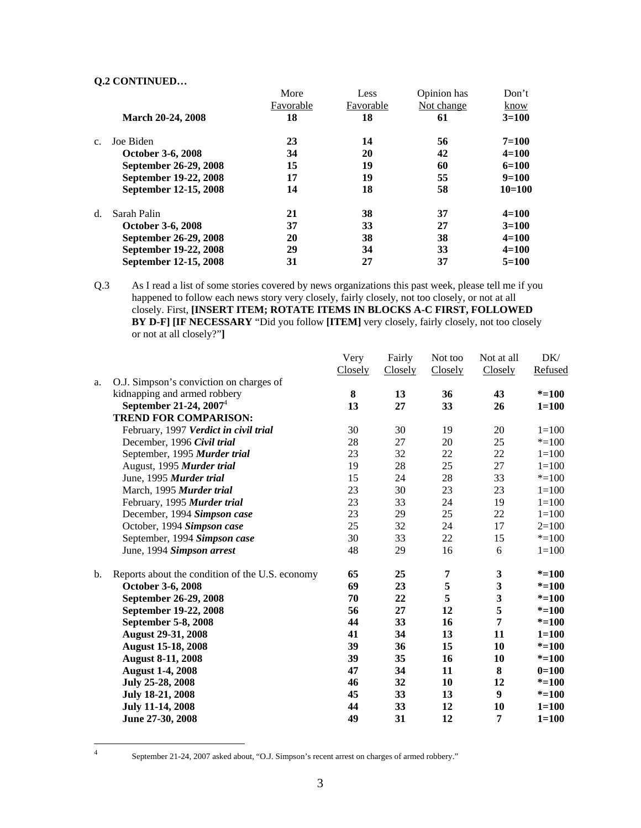|                          | More      | Less      | Opinion has | Don't      |
|--------------------------|-----------|-----------|-------------|------------|
|                          | Favorable | Favorable | Not change  | know       |
| <b>March 20-24, 2008</b> | 18        | 18        | 61          | $3=100$    |
| Joe Biden                | 23        | 14        | 56          | $7 = 100$  |
| October 3-6, 2008        | 34        | 20        | 42          | $4 = 100$  |
| September 26-29, 2008    | 15        | 19        | 60          | $6=100$    |
| September 19-22, 2008    | 17        | 19        | 55          | $9=100$    |
| September 12-15, 2008    | 14        | 18        | 58          | $10 = 100$ |
| Sarah Palin              | 21        | 38        | 37          | $4 = 100$  |
| October 3-6, 2008        | 37        | 33        | 27          | $3=100$    |
| September 26-29, 2008    | 20        | 38        | 38          | $4 = 100$  |
| September 19-22, 2008    | 29        | 34        | 33          | $4 = 100$  |
| September 12-15, 2008    | 31        | 27        | 37          | $5=100$    |
|                          |           |           |             |            |

Q.3 As I read a list of some stories covered by news organizations this past week, please tell me if you happened to follow each news story very closely, fairly closely, not too closely, or not at all closely. First, **[INSERT ITEM; ROTATE ITEMS IN BLOCKS A-C FIRST, FOLLOWED BY D-F] [IF NECESSARY** "Did you follow **[ITEM]** very closely, fairly closely, not too closely or not at all closely?"**]** 

|    |                                                 | Very    | Fairly  | Not too | Not at all              | DK/       |
|----|-------------------------------------------------|---------|---------|---------|-------------------------|-----------|
|    |                                                 | Closely | Closely | Closely | Closely                 | Refused   |
| a. | O.J. Simpson's conviction on charges of         |         |         |         |                         |           |
|    | kidnapping and armed robbery                    | 8       | 13      | 36      | 43                      | $* = 100$ |
|    | September 21-24, $2007^4$                       | 13      | 27      | 33      | 26                      | $1 = 100$ |
|    | <b>TREND FOR COMPARISON:</b>                    |         |         |         |                         |           |
|    | February, 1997 Verdict in civil trial           | 30      | 30      | 19      | 20                      | $1 = 100$ |
|    | December, 1996 Civil trial                      | $28\,$  | 27      | 20      | 25                      | $* = 100$ |
|    | September, 1995 Murder trial                    | 23      | 32      | 22      | 22                      | $1 = 100$ |
|    | August, 1995 Murder trial                       | 19      | 28      | 25      | 27                      | $1 = 100$ |
|    | June, 1995 Murder trial                         | 15      | 24      | 28      | 33                      | $* = 100$ |
|    | March, 1995 Murder trial                        | 23      | 30      | 23      | 23                      | $1 = 100$ |
|    | February, 1995 Murder trial                     | 23      | 33      | 24      | 19                      | $1 = 100$ |
|    | December, 1994 Simpson case                     | 23      | 29      | 25      | 22                      | $1 = 100$ |
|    | October, 1994 Simpson case                      | 25      | 32      | 24      | 17                      | $2=100$   |
|    | September, 1994 Simpson case                    | 30      | 33      | 22      | 15                      | $* = 100$ |
|    | June, 1994 Simpson arrest                       | 48      | 29      | 16      | 6                       | $1 = 100$ |
| b. | Reports about the condition of the U.S. economy | 65      | 25      | 7       | $\mathbf{3}$            | $* = 100$ |
|    | October 3-6, 2008                               | 69      | 23      | 5       | $\mathbf{3}$            | $* = 100$ |
|    | September 26-29, 2008                           | 70      | 22      | 5       | $\overline{\mathbf{3}}$ | $* = 100$ |
|    | September 19-22, 2008                           | 56      | 27      | 12      | 5                       | $* = 100$ |
|    | <b>September 5-8, 2008</b>                      | 44      | 33      | 16      | 7                       | $* = 100$ |
|    | <b>August 29-31, 2008</b>                       | 41      | 34      | 13      | 11                      | $1 = 100$ |
|    | <b>August 15-18, 2008</b>                       | 39      | 36      | 15      | 10                      | $* = 100$ |
|    | <b>August 8-11, 2008</b>                        | 39      | 35      | 16      | 10                      | $* = 100$ |
|    | <b>August 1-4, 2008</b>                         | 47      | 34      | 11      | 8                       | $0=100$   |
|    | July 25-28, 2008                                | 46      | 32      | 10      | 12                      | $* = 100$ |
|    | July 18-21, 2008                                | 45      | 33      | 13      | 9                       | $* = 100$ |
|    | <b>July 11-14, 2008</b>                         | 44      | 33      | 12      | 10                      | $1 = 100$ |
|    | June 27-30, 2008                                | 49      | 31      | 12      | 7                       | $1 = 100$ |
|    |                                                 |         |         |         |                         |           |

 $\frac{1}{4}$ 

September 21-24, 2007 asked about, "O.J. Simpson's recent arrest on charges of armed robbery."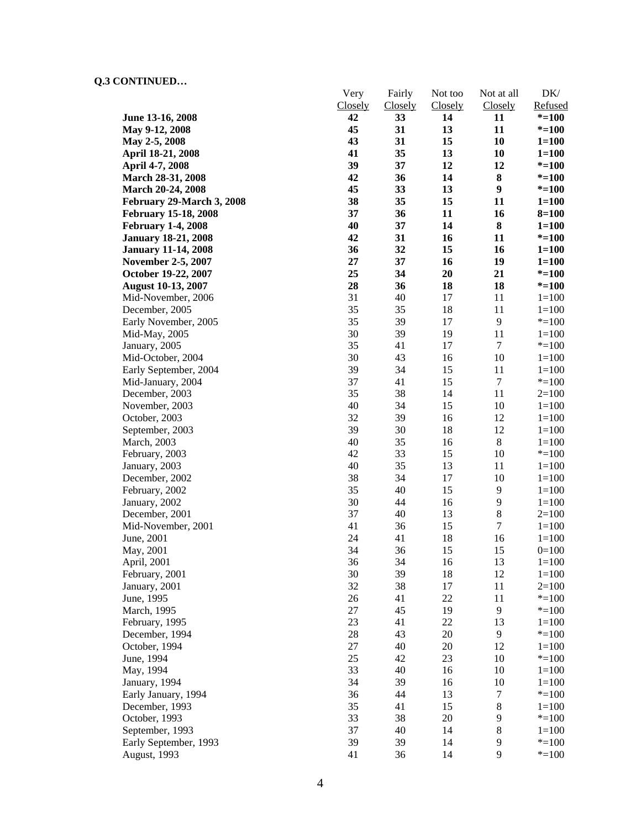|                             | Very           | Fairly  | Not too | Not at all       | DK/       |
|-----------------------------|----------------|---------|---------|------------------|-----------|
|                             | <b>Closely</b> | Closely | Closely | Closely          | Refused   |
| June 13-16, 2008            | 42             | 33      | 14      | 11               | $* = 100$ |
| May 9-12, 2008              | 45             | 31      | 13      | 11               | $* = 100$ |
| May 2-5, 2008               | 43             | 31      | 15      | 10               | $1 = 100$ |
| April 18-21, 2008           | 41             | 35      | 13      | 10               | $1 = 100$ |
| April 4-7, 2008             | 39             | 37      | 12      | 12               | $* = 100$ |
| <b>March 28-31, 2008</b>    | 42             | 36      | 14      | ${\bf 8}$        | $* = 100$ |
| March 20-24, 2008           | 45             | 33      | 13      | $\boldsymbol{9}$ | $* = 100$ |
| February 29-March 3, 2008   | 38             | 35      | 15      | 11               | $1 = 100$ |
| <b>February 15-18, 2008</b> | 37             | 36      | 11      | 16               | $8 = 100$ |
| <b>February 1-4, 2008</b>   | 40             | 37      | 14      | ${\bf 8}$        | $1 = 100$ |
| <b>January 18-21, 2008</b>  | 42             | 31      | 16      | 11               | $* = 100$ |
| <b>January 11-14, 2008</b>  | 36             | 32      | 15      | 16               | $1 = 100$ |
| <b>November 2-5, 2007</b>   | 27             | 37      | 16      | 19               | $1 = 100$ |
| October 19-22, 2007         | 25             | 34      | 20      | 21               | $* = 100$ |
| <b>August 10-13, 2007</b>   | 28             | 36      | 18      | 18               | $* = 100$ |
| Mid-November, 2006          | 31             | 40      | 17      | 11               | $1 = 100$ |
| December, 2005              | 35             | 35      | 18      | 11               | $1 = 100$ |
| Early November, 2005        | 35             | 39      | 17      | 9                | $* = 100$ |
| Mid-May, 2005               | 30             | 39      | 19      | 11               | $1=100$   |
| January, 2005               | 35             | 41      | 17      | $\tau$           | $* = 100$ |
| Mid-October, 2004           | 30             | 43      | 16      | 10               | $1 = 100$ |
| Early September, 2004       | 39             | 34      | 15      | 11               | $1 = 100$ |
| Mid-January, 2004           | 37             | 41      | 15      | $\boldsymbol{7}$ | $* = 100$ |
| December, 2003              | 35             | 38      | 14      | 11               | $2=100$   |
| November, 2003              | 40             | 34      | 15      | 10               | $1 = 100$ |
| October, 2003               | 32             | 39      | 16      | 12               | $1 = 100$ |
| September, 2003             | 39             | 30      | 18      | 12               | $1 = 100$ |
| March, 2003                 | 40             | 35      | 16      | $\,8\,$          | $1 = 100$ |
| February, 2003              | 42             | 33      | 15      | 10               | $* = 100$ |
| January, 2003               | 40             | 35      | 13      | 11               | $1 = 100$ |
| December, 2002              | 38             | 34      | 17      | 10               | $1 = 100$ |
| February, 2002              | 35             | 40      | 15      | 9                | $1 = 100$ |
| January, 2002               | 30             | 44      | 16      | 9                | $1 = 100$ |
| December, 2001              | 37             | 40      | 13      | $\,$ 8 $\,$      | $2=100$   |
| Mid-November, 2001          | 41             | 36      | 15      | $\tau$           | $1 = 100$ |
| June, 2001                  | 24             | 41      | 18      | 16               | $1 = 100$ |
| May, 2001                   | 34             | 36      | 15      | 15               | $0=100$   |
| April, 2001                 | 36             | 34      | 16      | 13               | $1 = 100$ |
| February, 2001              | 30             | 39      | 18      | 12               | $1 = 100$ |
| January, 2001               | 32             | 38      | 17      | 11               | $2=100$   |
| June, 1995                  | 26             | 41      | 22      | 11               | $* = 100$ |
| March, 1995                 | 27             | 45      | 19      | 9                | $* = 100$ |
| February, 1995              | 23             | 41      | 22      | 13               | $1=100$   |
| December, 1994              | 28             | 43      | $20\,$  | 9                | $* = 100$ |
| October, 1994               | 27             | 40      | 20      | 12               | $1 = 100$ |
| June, 1994                  | 25             | 42      | 23      | 10               | $* = 100$ |
| May, 1994                   | 33             | 40      | 16      | 10               | $1=100$   |
| January, 1994               | 34             | 39      | 16      | 10               | $1 = 100$ |
| Early January, 1994         | 36             | 44      | 13      | $\tau$           | $* = 100$ |
| December, 1993              | 35             | 41      | 15      | $8\,$            | $1 = 100$ |
| October, 1993               | 33             | 38      | 20      | 9                | $* = 100$ |
| September, 1993             | 37             | 40      | 14      | $8\,$            | $1 = 100$ |
| Early September, 1993       | 39             | 39      | 14      | $\overline{9}$   | $* = 100$ |
| August, 1993                | 41             | 36      | 14      | 9                | $* = 100$ |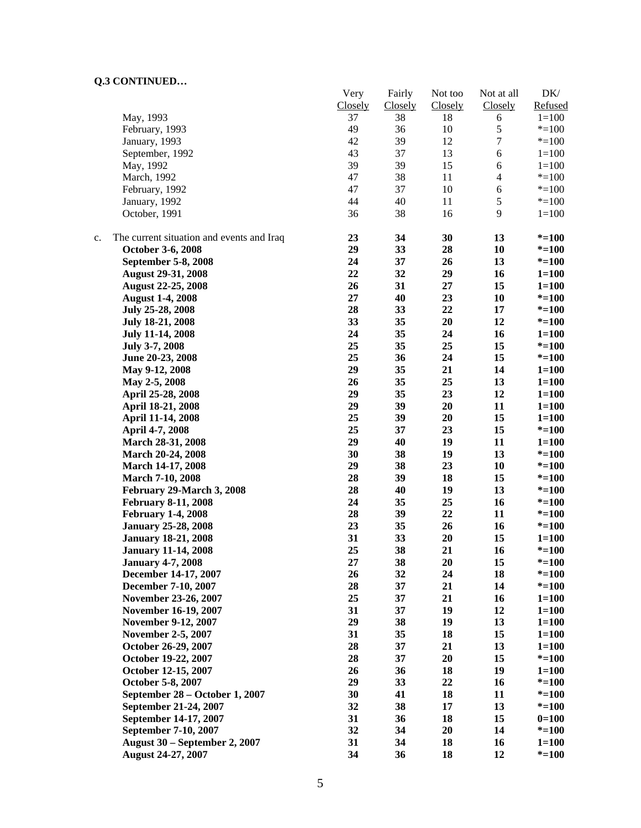|    |                                           | Very<br>Closely | Fairly<br>Closely | Not too<br>Closely | Not at all<br>Closely | DK/<br>Refused |
|----|-------------------------------------------|-----------------|-------------------|--------------------|-----------------------|----------------|
|    | May, 1993                                 | 37              | 38                | 18                 | 6                     | $1 = 100$      |
|    | February, 1993                            | 49              | 36                | 10                 | $\mathfrak s$         | $* = 100$      |
|    | January, 1993                             | 42              | 39                | 12                 | 7                     | $* = 100$      |
|    | September, 1992                           | 43              | 37                | 13                 | 6                     | $1 = 100$      |
|    | May, 1992                                 | 39              | 39                | 15                 | 6                     | $1 = 100$      |
|    | March, 1992                               | 47              | 38                | 11                 | $\overline{4}$        | $* = 100$      |
|    | February, 1992                            | 47              | 37                | 10                 | $\sqrt{6}$            | $* = 100$      |
|    | January, 1992                             | 44              | 40                | 11                 | $\sqrt{5}$            | $* = 100$      |
|    | October, 1991                             | 36              | 38                | 16                 | 9                     | $1 = 100$      |
| c. | The current situation and events and Iraq | 23              | 34                | 30                 | 13                    | $* = 100$      |
|    | October 3-6, 2008                         | 29              | 33                | 28                 | 10                    | $* = 100$      |
|    | September 5-8, 2008                       | 24              | 37                | 26                 | 13                    | $* = 100$      |
|    | <b>August 29-31, 2008</b>                 | 22              | 32                | 29                 | 16                    | $1 = 100$      |
|    | <b>August 22-25, 2008</b>                 | 26              | 31                | 27                 | 15                    | $1 = 100$      |
|    | <b>August 1-4, 2008</b>                   | 27              | 40                | 23                 | 10                    | $* = 100$      |
|    | July 25-28, 2008                          | 28              | 33                | 22                 | 17                    | $* = 100$      |
|    | <b>July 18-21, 2008</b>                   | 33              | 35                | 20                 | 12                    | $* = 100$      |
|    | <b>July 11-14, 2008</b>                   | 24              | 35                | 24                 | 16                    | $1 = 100$      |
|    | July 3-7, 2008                            | 25              | 35                | 25                 | 15                    | $* = 100$      |
|    | June 20-23, 2008                          | 25              | 36                | 24                 | 15                    | $* = 100$      |
|    | May 9-12, 2008                            | 29              | 35                | 21                 | 14                    | $1 = 100$      |
|    | May 2-5, 2008                             | 26              | 35                | 25                 | 13                    | $1 = 100$      |
|    | April 25-28, 2008                         | 29              | 35                | 23                 | 12                    | $1 = 100$      |
|    | April 18-21, 2008                         | 29              | 39                | 20                 | 11                    | $1 = 100$      |
|    | April 11-14, 2008                         | 25              | 39                | 20                 | 15                    | $1 = 100$      |
|    | April 4-7, 2008                           | 25              | 37                | 23                 | 15                    | $* = 100$      |
|    | March 28-31, 2008                         | 29              | 40                | 19                 | 11                    | $1 = 100$      |
|    | March 20-24, 2008                         | 30              | 38                | 19                 | 13                    | $* = 100$      |
|    | March 14-17, 2008                         | 29              | 38                | 23                 | 10                    | $* = 100$      |
|    | <b>March 7-10, 2008</b>                   | 28              | 39                | 18                 | 15                    | $* = 100$      |
|    | February 29-March 3, 2008                 | 28              | 40                | 19                 | 13                    | $* = 100$      |
|    | <b>February 8-11, 2008</b>                | 24              | 35                | 25                 | 16                    | $* = 100$      |
|    | <b>February 1-4, 2008</b>                 | 28              | 39                | 22                 | 11                    | $* = 100$      |
|    | <b>January 25-28, 2008</b>                | 23              | 35                | 26                 | 16                    | $* = 100$      |
|    | <b>January 18-21, 2008</b>                | 31              | 33                | 20                 | 15                    | $1 = 100$      |
|    | <b>January 11-14, 2008</b>                | 25              | 38                | 21                 | 16                    | $* = 100$      |
|    | <b>January 4-7, 2008</b>                  | 27              | 38                | 20                 | 15                    | $* = 100$      |
|    | December 14-17, 2007                      | 26              | 32                | 24                 | 18                    | $* = 100$      |
|    | December 7-10, 2007                       | 28              | 37                | 21                 | 14                    | $* = 100$      |
|    | November 23-26, 2007                      | 25              | 37                | 21                 | 16                    | $1 = 100$      |
|    | November 16-19, 2007                      | 31              | 37                | 19                 | 12                    | $1 = 100$      |
|    | November 9-12, 2007                       | 29              | 38                | 19                 | 13                    | $1 = 100$      |
|    | <b>November 2-5, 2007</b>                 | 31              | 35                | 18                 | 15                    | $1 = 100$      |
|    | October 26-29, 2007                       | 28              | 37                | 21                 | 13                    | $1 = 100$      |
|    | October 19-22, 2007                       | 28              | 37                | 20                 | 15                    | $* = 100$      |
|    | October 12-15, 2007                       | 26              | 36                | 18                 | 19                    | $1 = 100$      |
|    | October 5-8, 2007                         | 29              | 33                | 22                 | 16                    | $* = 100$      |
|    | September 28 - October 1, 2007            | 30              | 41                | 18                 | 11                    | $* = 100$      |
|    | September 21-24, 2007                     | 32              | 38                | 17                 | 13                    | $* = 100$      |
|    | September 14-17, 2007                     | 31              | 36                | 18                 | 15                    | $0=100$        |
|    | September 7-10, 2007                      | 32              | 34                | 20                 | 14                    | $* = 100$      |
|    | <b>August 30 – September 2, 2007</b>      | 31              | 34                | 18                 | 16                    | $1 = 100$      |
|    | August 24-27, 2007                        | 34              | 36                | 18                 | 12                    | $* = 100$      |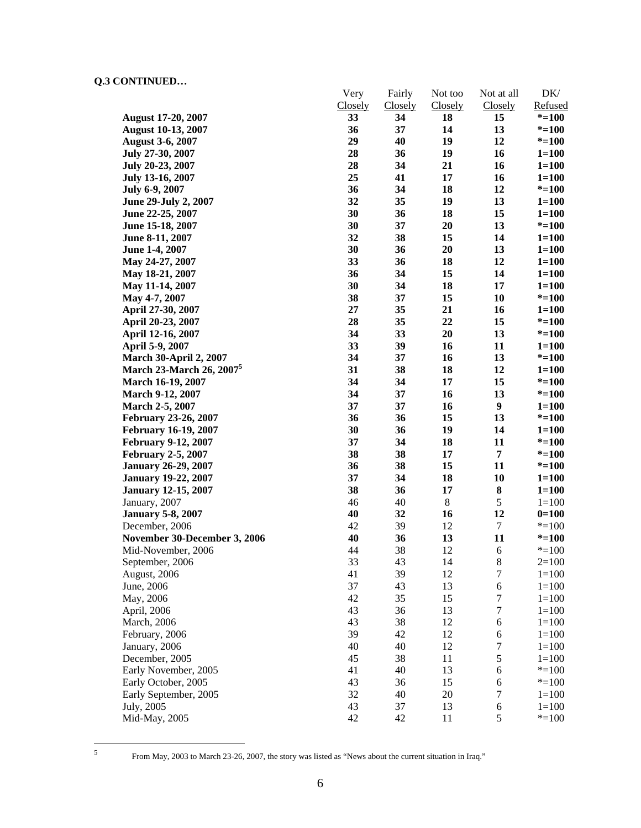|                                | Very    | Fairly         | Not too | Not at all       | DK/       |
|--------------------------------|---------|----------------|---------|------------------|-----------|
|                                | Closely | <b>Closely</b> | Closely | <b>Closely</b>   | Refused   |
| <b>August 17-20, 2007</b>      | 33      | 34             | 18      | 15               | $* = 100$ |
| <b>August 10-13, 2007</b>      | 36      | 37             | 14      | 13               | $* = 100$ |
| <b>August 3-6, 2007</b>        | 29      | 40             | 19      | 12               | $* = 100$ |
| July 27-30, 2007               | 28      | 36             | 19      | 16               | $1 = 100$ |
| July 20-23, 2007               | 28      | 34             | 21      | 16               | $1 = 100$ |
| July 13-16, 2007               | 25      | 41             | 17      | 16               | $1 = 100$ |
| <b>July 6-9, 2007</b>          | 36      | 34             | 18      | 12               | $* = 100$ |
| June 29-July 2, 2007           | 32      | 35             | 19      | 13               | $1 = 100$ |
| June 22-25, 2007               | 30      | 36             | 18      | 15               | $1 = 100$ |
| June 15-18, 2007               | 30      | 37             | 20      | 13               | $* = 100$ |
| June 8-11, 2007                | 32      | 38             | 15      | 14               | $1 = 100$ |
| June 1-4, 2007                 | 30      | 36             | 20      | 13               | $1 = 100$ |
| May 24-27, 2007                | 33      | 36             | 18      | 12               | $1 = 100$ |
| May 18-21, 2007                | 36      | 34             | 15      | 14               | $1 = 100$ |
| May 11-14, 2007                | 30      | 34             | 18      | 17               | $1 = 100$ |
| May 4-7, 2007                  | 38      | 37             | 15      | 10               | $* = 100$ |
| April 27-30, 2007              | 27      | 35             | 21      | 16               | $1 = 100$ |
| April 20-23, 2007              | 28      | 35             | 22      | 15               | $* = 100$ |
| April 12-16, 2007              | 34      | 33             | 20      | 13               | $* = 100$ |
| April 5-9, 2007                | 33      | 39             | 16      | 11               | $1 = 100$ |
| <b>March 30-April 2, 2007</b>  | 34      | 37             | 16      | 13               | $* = 100$ |
| <b>March 23-March 26, 2007</b> | 31      | 38             | 18      | 12               | $1 = 100$ |
| <b>March 16-19, 2007</b>       | 34      | 34             | 17      | 15               | $* = 100$ |
| March 9-12, 2007               | 34      | 37             | 16      | 13               | $* = 100$ |
| March 2-5, 2007                | 37      | 37             | 16      | $\boldsymbol{9}$ | $1 = 100$ |
| February 23-26, 2007           | 36      | 36             | 15      | 13               | $* = 100$ |
| <b>February 16-19, 2007</b>    | 30      | 36             | 19      | 14               | $1 = 100$ |
| <b>February 9-12, 2007</b>     | 37      | 34             | 18      | 11               | $* = 100$ |
| <b>February 2-5, 2007</b>      | 38      | 38             | 17      | 7                | $* = 100$ |
| <b>January 26-29, 2007</b>     | 36      | 38             | 15      | 11               | $* = 100$ |
| <b>January 19-22, 2007</b>     | 37      | 34             | 18      | 10               | $1 = 100$ |
| <b>January 12-15, 2007</b>     | 38      | 36             | 17      | ${\bf 8}$        | $1 = 100$ |
| January, 2007                  | 46      | 40             | $8\,$   | $\sqrt{5}$       | $1 = 100$ |
| <b>January 5-8, 2007</b>       | 40      | 32             | 16      | 12               | $0=100$   |
| December, 2006                 | 42      | 39             | 12      | $\tau$           | $* = 100$ |
| November 30-December 3, 2006   | 40      | 36             | 13      | 11               | $* = 100$ |
| Mid-November, 2006             | 44      | 38             | 12      | 6                | $* = 100$ |
| September, 2006                | 33      | 43             | 14      | $\,8\,$          | $2=100$   |
|                                | 41      | 39             | 12      | 7                | $1 = 100$ |
| August, 2006<br>June, 2006     | 37      | 43             | 13      | 6                | $1 = 100$ |
|                                | 42      | 35             | 15      | $\tau$           | $1 = 100$ |
| May, 2006                      | 43      |                |         | $\tau$           |           |
| April, 2006                    |         | 36             | 13      |                  | $1 = 100$ |
| March, 2006                    | 43      | 38             | 12      | 6                | $1 = 100$ |
| February, 2006                 | 39      | 42             | 12      | 6                | $1 = 100$ |
| January, 2006                  | 40      | 40             | 12      | $\boldsymbol{7}$ | $1 = 100$ |
| December, 2005                 | 45      | 38             | 11      | 5                | $1 = 100$ |
| Early November, 2005           | 41      | 40             | 13      | $\sqrt{6}$       | $* = 100$ |
| Early October, 2005            | 43      | 36             | 15      | 6                | $* = 100$ |
| Early September, 2005          | 32      | 40             | $20\,$  | 7                | $1 = 100$ |
| July, 2005                     | 43      | 37             | 13      | 6                | $1 = 100$ |
| Mid-May, 2005                  | 42      | 42             | 11      | 5                | $* = 100$ |

5

From May, 2003 to March 23-26, 2007, the story was listed as "News about the current situation in Iraq."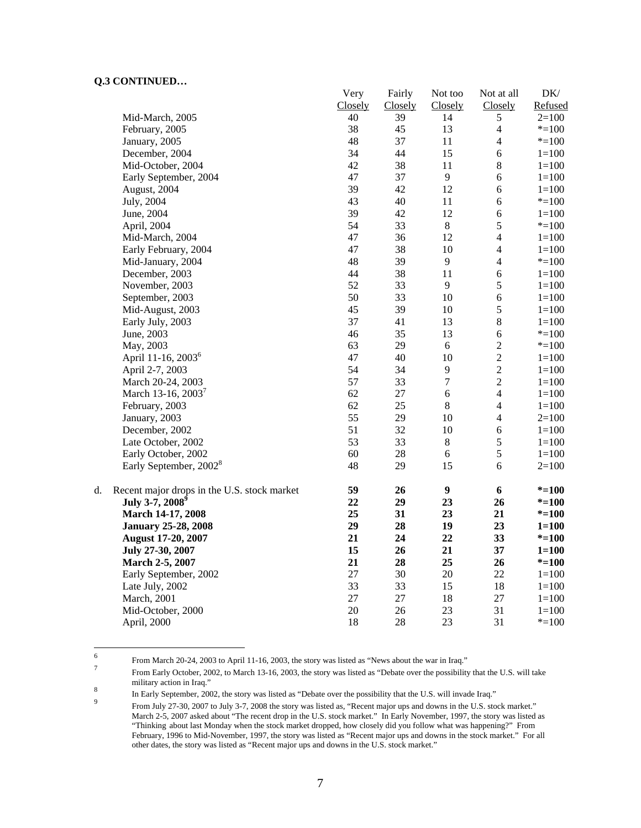|    |                                             | Very    | Fairly  | Not too          | Not at all     | $DK/$     |
|----|---------------------------------------------|---------|---------|------------------|----------------|-----------|
|    |                                             | Closely | Closely | Closely          | Closely        | Refused   |
|    | Mid-March, 2005                             | 40      | 39      | 14               | 5              | $2=100$   |
|    | February, 2005                              | 38      | 45      | 13               | $\overline{4}$ | $* = 100$ |
|    | January, 2005                               | 48      | 37      | 11               | $\overline{4}$ | $* = 100$ |
|    | December, 2004                              | 34      | 44      | 15               | 6              | $1 = 100$ |
|    | Mid-October, 2004                           | 42      | 38      | 11               | $\bf 8$        | $1 = 100$ |
|    | Early September, 2004                       | 47      | 37      | 9                | $\sqrt{6}$     | $1 = 100$ |
|    | August, 2004                                | 39      | 42      | 12               | 6              | $1 = 100$ |
|    | July, 2004                                  | 43      | 40      | 11               | 6              | $*=100$   |
|    | June, 2004                                  | 39      | 42      | 12               | $\sqrt{6}$     | $1 = 100$ |
|    | April, 2004                                 | 54      | 33      | $\,8\,$          | 5              | $* = 100$ |
|    | Mid-March, 2004                             | 47      | 36      | 12               | $\overline{4}$ | $1 = 100$ |
|    | Early February, 2004                        | 47      | 38      | 10               | $\overline{4}$ | $1 = 100$ |
|    | Mid-January, 2004                           | 48      | 39      | $\overline{9}$   | $\overline{4}$ | $* = 100$ |
|    | December, 2003                              | 44      | 38      | 11               | 6              | $1 = 100$ |
|    | November, 2003                              | 52      | 33      | 9                | 5              | $1 = 100$ |
|    | September, 2003                             | 50      | 33      | 10               | $\sqrt{6}$     | $1 = 100$ |
|    | Mid-August, 2003                            | 45      | 39      | 10               | $\sqrt{5}$     | $1 = 100$ |
|    | Early July, 2003                            | 37      | 41      | 13               | $\bf 8$        | $1 = 100$ |
|    | June, 2003                                  | 46      | 35      | 13               | 6              | $*=100$   |
|    | May, 2003                                   | 63      | 29      | 6                | $\overline{c}$ | $* = 100$ |
|    | April 11-16, 2003 <sup>6</sup>              | 47      | 40      | 10               | $\overline{c}$ | $1 = 100$ |
|    | April 2-7, 2003                             | 54      | 34      | 9                | $\overline{2}$ | $1 = 100$ |
|    | March 20-24, 2003                           | 57      | 33      | $\boldsymbol{7}$ | $\overline{c}$ | $1 = 100$ |
|    | March 13-16, 2003 <sup>7</sup>              | 62      | 27      | $\sqrt{6}$       | $\overline{4}$ | $1 = 100$ |
|    | February, 2003                              | 62      | 25      | $\,8\,$          | $\overline{4}$ | $1 = 100$ |
|    | January, 2003                               | 55      | 29      | 10               | $\overline{4}$ | $2=100$   |
|    | December, 2002                              | 51      | 32      | 10               | 6              | $1 = 100$ |
|    | Late October, 2002                          | 53      | 33      | $8\,$            | 5              | $1 = 100$ |
|    | Early October, 2002                         | 60      | 28      | 6                | 5              | $1 = 100$ |
|    | Early September, 2002 <sup>8</sup>          | 48      | 29      | 15               | 6              | $2=100$   |
| d. | Recent major drops in the U.S. stock market | 59      | 26      | $\boldsymbol{9}$ | 6              | $* = 100$ |
|    | July 3-7, 2008 <sup>9</sup>                 | 22      | 29      | 23               | 26             | $* = 100$ |
|    | March 14-17, 2008                           | 25      | 31      | 23               | 21             | $* = 100$ |
|    | <b>January 25-28, 2008</b>                  | 29      | 28      | 19               | 23             | $1 = 100$ |
|    | <b>August 17-20, 2007</b>                   | 21      | 24      | 22               | 33             | $* = 100$ |
|    | July 27-30, 2007                            | 15      | 26      | 21               | 37             | $1 = 100$ |
|    | March 2-5, 2007                             | 21      | 28      | 25               | 26             | $* = 100$ |
|    | Early September, 2002                       | 27      | 30      | 20               | 22             | $1 = 100$ |
|    | Late July, 2002                             | 33      | 33      | 15               | 18             | $1 = 100$ |
|    | March, 2001                                 | 27      | $27\,$  | 18               | 27             | $1 = 100$ |
|    | Mid-October, 2000                           | 20      | 26      | 23               | 31             | $1 = 100$ |
|    | April, 2000                                 | 18      | 28      | 23               | 31             | $* = 100$ |

 $\frac{1}{6}$ From March 20-24, 2003 to April 11-16, 2003, the story was listed as "News about the war in Iraq."  $\frac{7}{2}$ 

From Early October, 2002, to March 13-16, 2003, the story was listed as "Debate over the possibility that the U.S. will take military action in Iraq."<br>
<sup>8</sup><br> **10 Forly Soptember 200** 

In Early September, 2002, the story was listed as "Debate over the possibility that the U.S. will invade Iraq."

From July 27-30, 2007 to July 3-7, 2008 the story was listed as, "Recent major ups and downs in the U.S. stock market." March 2-5, 2007 asked about "The recent drop in the U.S. stock market." In Early November, 1997, the story was listed as "Thinking about last Monday when the stock market dropped, how closely did you follow what was happening?" From February, 1996 to Mid-November, 1997, the story was listed as "Recent major ups and downs in the stock market." For all other dates, the story was listed as "Recent major ups and downs in the U.S. stock market."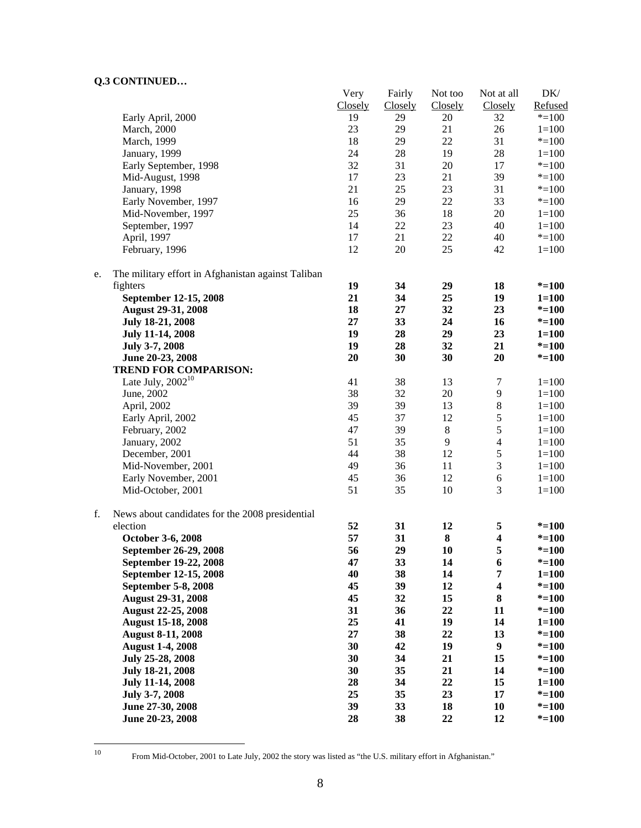|    |                                                    | Very    | Fairly  | Not too | Not at all              | DK/       |
|----|----------------------------------------------------|---------|---------|---------|-------------------------|-----------|
|    |                                                    | Closely | Closely | Closely | Closely                 | Refused   |
|    | Early April, 2000                                  | 19      | 29      | 20      | 32                      | $* = 100$ |
|    | March, 2000                                        | 23      | 29      | 21      | 26                      | $1 = 100$ |
|    | March, 1999                                        | 18      | 29      | 22      | 31                      | $* = 100$ |
|    | January, 1999                                      | 24      | $28\,$  | 19      | 28                      | $1 = 100$ |
|    | Early September, 1998                              | 32      | 31      | 20      | 17                      | $* = 100$ |
|    | Mid-August, 1998                                   | $17\,$  | 23      | 21      | 39                      | $* = 100$ |
|    | January, 1998                                      | 21      | 25      | 23      | 31                      | $* = 100$ |
|    | Early November, 1997                               | 16      | 29      | 22      | 33                      | $* = 100$ |
|    | Mid-November, 1997                                 | 25      | 36      | 18      | 20                      | $1 = 100$ |
|    | September, 1997                                    | 14      | $22\,$  | 23      | 40                      | $1 = 100$ |
|    | April, 1997                                        | 17      | 21      | 22      | 40                      | $* = 100$ |
|    |                                                    | 12      |         | 25      | 42                      |           |
|    | February, 1996                                     |         | 20      |         |                         | $1 = 100$ |
| e. | The military effort in Afghanistan against Taliban |         |         |         |                         |           |
|    | fighters                                           | 19      | 34      | 29      | 18                      | $* = 100$ |
|    | September 12-15, 2008                              | 21      | 34      | 25      | 19                      | $1 = 100$ |
|    | August 29-31, 2008                                 | 18      | 27      | 32      | 23                      | $* = 100$ |
|    | <b>July 18-21, 2008</b>                            | 27      | 33      | 24      | 16                      | $* = 100$ |
|    | July 11-14, 2008                                   | 19      | 28      | 29      | 23                      | $1 = 100$ |
|    | July 3-7, 2008                                     | 19      | 28      | 32      | 21                      | $* = 100$ |
|    | June 20-23, 2008                                   | 20      | 30      | 30      | 20                      | $* = 100$ |
|    | <b>TREND FOR COMPARISON:</b>                       |         |         |         |                         |           |
|    | Late July, $2002^{10}$                             | 41      | 38      | 13      | $\tau$                  | $1 = 100$ |
|    | June, 2002                                         | 38      | 32      | $20\,$  | $\mathbf{9}$            | $1 = 100$ |
|    | April, 2002                                        | 39      | 39      | 13      | $\,8\,$                 | $1 = 100$ |
|    | Early April, 2002                                  | 45      | 37      | 12      | 5                       | $1 = 100$ |
|    | February, 2002                                     | 47      | 39      | $\,8\,$ | 5                       | $1 = 100$ |
|    | January, 2002                                      | 51      | 35      | 9       | $\overline{4}$          | $1 = 100$ |
|    | December, 2001                                     | 44      | 38      | 12      | 5                       | $1 = 100$ |
|    | Mid-November, 2001                                 | 49      | 36      | 11      | 3                       | $1 = 100$ |
|    | Early November, 2001                               | 45      | 36      | 12      | $\sqrt{6}$              | $1 = 100$ |
|    | Mid-October, 2001                                  | 51      | 35      | 10      | 3                       | $1 = 100$ |
|    |                                                    |         |         |         |                         |           |
| f. | News about candidates for the 2008 presidential    |         |         |         |                         |           |
|    | election                                           | 52      | 31      | 12      | 5                       | $* = 100$ |
|    | October 3-6, 2008                                  | 57      | 31      | 8       | $\overline{\mathbf{4}}$ | $* = 100$ |
|    | September 26-29, 2008                              | 56      | 29      | 10      | 5                       | $* = 100$ |
|    | September 19-22, 2008                              | 47      | 33      | 14      | 6                       | $* = 100$ |
|    | September 12-15, 2008                              | 40      | 38      | 14      | $\overline{\bf 7}$      | $1 = 100$ |
|    | <b>September 5-8, 2008</b>                         | 45      | 39      | 12      | $\overline{\mathbf{4}}$ | $* = 100$ |
|    | <b>August 29-31, 2008</b>                          | 45      | 32      | 15      | $\bf 8$                 | $* = 100$ |
|    | <b>August 22-25, 2008</b>                          | 31      | 36      | 22      | 11                      | $* = 100$ |
|    | <b>August 15-18, 2008</b>                          | 25      | 41      | 19      | 14                      | $1 = 100$ |
|    | <b>August 8-11, 2008</b>                           | 27      | 38      | 22      | 13                      | $* = 100$ |
|    | <b>August 1-4, 2008</b>                            | 30      | 42      | 19      | $\boldsymbol{9}$        | $* = 100$ |
|    | July 25-28, 2008                                   | 30      | 34      | 21      | 15                      | $* = 100$ |
|    | July 18-21, 2008                                   | 30      | 35      | 21      | 14                      | $* = 100$ |
|    | July 11-14, 2008                                   | 28      | 34      | 22      | 15                      | $1 = 100$ |
|    | July 3-7, 2008                                     | 25      | 35      | 23      | 17                      | $* = 100$ |
|    | June 27-30, 2008                                   | 39      | 33      | 18      | 10                      | $* = 100$ |
|    | June 20-23, 2008                                   | 28      | 38      | 22      | 12                      | $* = 100$ |
|    |                                                    |         |         |         |                         |           |

 $10\,$ 

<sup>10</sup> From Mid-October, 2001 to Late July, 2002 the story was listed as "the U.S. military effort in Afghanistan."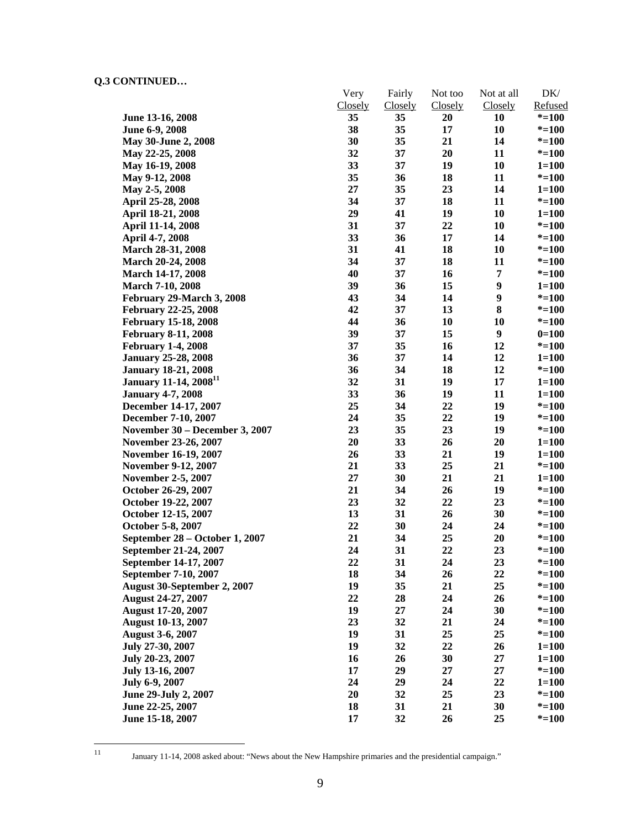|                                   | Very    | Fairly         | Not too | Not at all | DK/       |
|-----------------------------------|---------|----------------|---------|------------|-----------|
|                                   | Closely | <b>Closely</b> | Closely | Closely    | Refused   |
| June 13-16, 2008                  | 35      | 35             | 20      | 10         | $* = 100$ |
| June 6-9, 2008                    | 38      | 35             | 17      | 10         | $* = 100$ |
| May 30-June 2, 2008               | 30      | 35             | 21      | 14         | $* = 100$ |
| May 22-25, 2008                   | 32      | 37             | 20      | 11         | $* = 100$ |
| May 16-19, 2008                   | 33      | 37             | 19      | 10         | $1 = 100$ |
| May 9-12, 2008                    | 35      | 36             | 18      | 11         | $* = 100$ |
| May 2-5, 2008                     | 27      | 35             | 23      | 14         | $1 = 100$ |
| April 25-28, 2008                 | 34      | 37             | 18      | 11         | $* = 100$ |
| April 18-21, 2008                 | 29      | 41             | 19      | 10         | $1 = 100$ |
| April 11-14, 2008                 | 31      | 37             | 22      | 10         | $* = 100$ |
| April 4-7, 2008                   | 33      | 36             | 17      | 14         | $* = 100$ |
| <b>March 28-31, 2008</b>          | 31      | 41             | 18      | 10         | $* = 100$ |
| March 20-24, 2008                 | 34      | 37             | 18      | 11         | $* = 100$ |
| <b>March 14-17, 2008</b>          | 40      | 37             | 16      | 7          | $* = 100$ |
| <b>March 7-10, 2008</b>           | 39      | 36             | 15      | 9          | $1 = 100$ |
| February 29-March 3, 2008         | 43      | 34             | 14      | 9          | $* = 100$ |
| <b>February 22-25, 2008</b>       | 42      | 37             | 13      | 8          | $* = 100$ |
| <b>February 15-18, 2008</b>       | 44      | 36             | 10      | 10         | $* = 100$ |
| <b>February 8-11, 2008</b>        | 39      | 37             | 15      | 9          | $0=100$   |
| <b>February 1-4, 2008</b>         | 37      | 35             | 16      | 12         | $* = 100$ |
| <b>January 25-28, 2008</b>        | 36      | 37             | 14      | 12         | $1 = 100$ |
| <b>January 18-21, 2008</b>        | 36      | 34             | 18      | 12         | $* = 100$ |
| January 11-14, 2008 <sup>11</sup> | 32      | 31             | 19      | 17         | $1 = 100$ |
| <b>January 4-7, 2008</b>          | 33      | 36             | 19      | 11         | $1 = 100$ |
| December 14-17, 2007              | 25      | 34             | 22      | 19         | $* = 100$ |
| December 7-10, 2007               | 24      | 35             | 22      | 19         | $* = 100$ |
| November 30 - December 3, 2007    | 23      | 35             | 23      | 19         | $* = 100$ |
| November 23-26, 2007              | 20      | 33             | 26      | 20         | $1 = 100$ |
| <b>November 16-19, 2007</b>       | 26      | 33             | 21      | 19         | $1 = 100$ |
| <b>November 9-12, 2007</b>        | 21      | 33             | 25      | 21         | $* = 100$ |
| <b>November 2-5, 2007</b>         | 27      | 30             | 21      | 21         | $1 = 100$ |
| October 26-29, 2007               | 21      | 34             | 26      | 19         | $* = 100$ |
| October 19-22, 2007               | 23      | 32             | 22      | 23         | $* = 100$ |
| October 12-15, 2007               | 13      | 31             | 26      | 30         | $* = 100$ |
| October 5-8, 2007                 | 22      | 30             | 24      | 24         | $* = 100$ |
| September 28 – October 1, 2007    | 21      | 34             | 25      | 20         | $* = 100$ |
| September 21-24, 2007             | 24      | 31             | 22      | 23         | $* = 100$ |
| September 14-17, 2007             | 22      | 31             | 24      | 23         | $* = 100$ |
| September 7-10, 2007              | 18      | 34             | 26      | 22         | $* = 100$ |
| August 30-September 2, 2007       | 19      | 35             | 21      | 25         | $* = 100$ |
| August 24-27, 2007                | 22      | 28             | 24      | 26         | $* = 100$ |
| <b>August 17-20, 2007</b>         | 19      | 27             | 24      | 30         | $* = 100$ |
| <b>August 10-13, 2007</b>         | 23      | 32             | 21      | 24         | $* = 100$ |
| <b>August 3-6, 2007</b>           | 19      | 31             | 25      | 25         | $* = 100$ |
| July 27-30, 2007                  | 19      | 32             | 22      | 26         | $1 = 100$ |
| July 20-23, 2007                  | 16      | 26             | 30      | $27\,$     | $1 = 100$ |
| July 13-16, 2007                  | 17      | 29             | 27      | 27         | $* = 100$ |
| July 6-9, 2007                    | 24      | 29             | 24      | 22         | $1 = 100$ |
| June 29-July 2, 2007              | 20      | 32             | 25      | 23         | $* = 100$ |
| June 22-25, 2007                  | 18      | 31             | 21      | 30         | $* = 100$ |
| June 15-18, 2007                  | 17      | 32             | 26      | 25         | $* = 100$ |
|                                   |         |                |         |            |           |

 $11\,$ 

<sup>11</sup> January 11-14, 2008 asked about: "News about the New Hampshire primaries and the presidential campaign."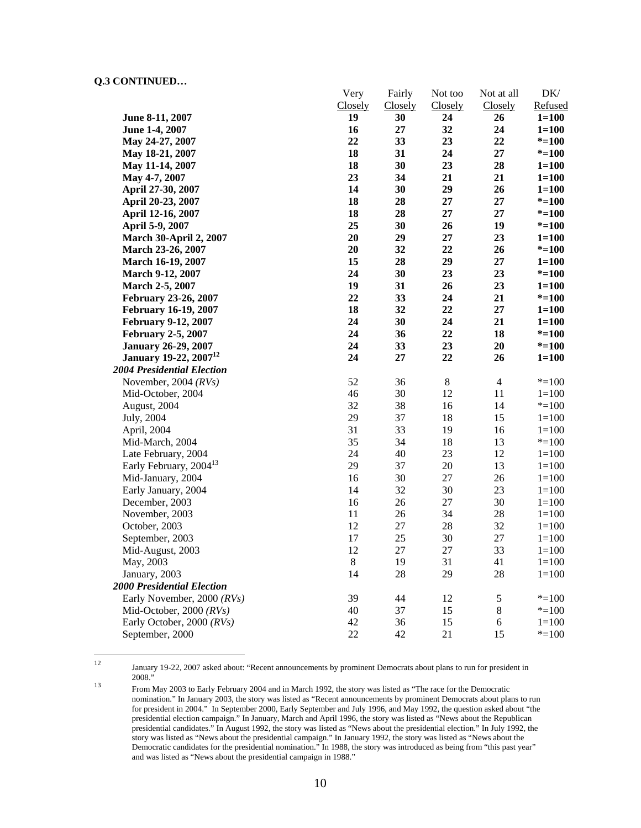|                                    | Very    | Fairly         | Not too | Not at all     | DK/       |
|------------------------------------|---------|----------------|---------|----------------|-----------|
|                                    | Closely | <b>Closely</b> | Closely | Closely        | Refused   |
| June 8-11, 2007                    | 19      | 30             | 24      | 26             | $1 = 100$ |
| June 1-4, 2007                     | 16      | 27             | 32      | 24             | $1 = 100$ |
| May 24-27, 2007                    | 22      | 33             | 23      | 22             | $* = 100$ |
| May 18-21, 2007                    | 18      | 31             | 24      | $27\,$         | $* = 100$ |
| May 11-14, 2007                    | 18      | 30             | 23      | 28             | $1 = 100$ |
| May 4-7, 2007                      | 23      | 34             | 21      | 21             | $1 = 100$ |
| April 27-30, 2007                  | 14      | 30             | 29      | 26             | $1 = 100$ |
| April 20-23, 2007                  | 18      | 28             | 27      | 27             | $* = 100$ |
| April 12-16, 2007                  | 18      | 28             | 27      | 27             | $* = 100$ |
| April 5-9, 2007                    | 25      | 30             | 26      | 19             | $* = 100$ |
| <b>March 30-April 2, 2007</b>      | 20      | 29             | 27      | 23             | $1 = 100$ |
| March 23-26, 2007                  | 20      | 32             | 22      | 26             | $* = 100$ |
| March 16-19, 2007                  | 15      | 28             | 29      | 27             | $1 = 100$ |
| March 9-12, 2007                   | 24      | 30             | 23      | 23             | $* = 100$ |
| March 2-5, 2007                    | 19      | 31             | 26      | 23             | $1 = 100$ |
| February 23-26, 2007               | 22      | 33             | 24      | 21             | $* = 100$ |
| <b>February 16-19, 2007</b>        | 18      | 32             | 22      | 27             | $1 = 100$ |
| <b>February 9-12, 2007</b>         | 24      | 30             | 24      | 21             | $1 = 100$ |
| <b>February 2-5, 2007</b>          | 24      | 36             | 22      | 18             | $* = 100$ |
| <b>January 26-29, 2007</b>         | 24      | 33             | 23      | 20             | $* = 100$ |
| January 19-22, 2007 <sup>12</sup>  | 24      | 27             | 22      | 26             | $1 = 100$ |
| <b>2004 Presidential Election</b>  |         |                |         |                |           |
| November, 2004 (RVs)               | 52      | 36             | $8\,$   | $\overline{4}$ | $* = 100$ |
| Mid-October, 2004                  | 46      | 30             | 12      | 11             | $1 = 100$ |
| August, 2004                       | 32      | 38             | 16      | 14             | $* = 100$ |
| July, 2004                         | 29      | 37             | 18      | 15             | $1 = 100$ |
| April, 2004                        | 31      | 33             | 19      | 16             | $1 = 100$ |
| Mid-March, 2004                    | 35      | 34             | 18      | 13             | $* = 100$ |
| Late February, 2004                | 24      | 40             | 23      | 12             | $1 = 100$ |
| Early February, 2004 <sup>13</sup> | 29      | 37             | $20\,$  | 13             | $1 = 100$ |
| Mid-January, 2004                  | 16      | 30             | 27      | 26             | $1 = 100$ |
| Early January, 2004                | 14      | 32             | 30      | 23             | $1 = 100$ |
| December, 2003                     | 16      | 26             | $27\,$  | 30             | $1 = 100$ |
| November, 2003                     | 11      | 26             | 34      | 28             | $1 = 100$ |
| October, 2003                      | 12      | 27             | $28\,$  | 32             | $1 = 100$ |
| September, 2003                    | 17      | 25             | 30      | 27             | $1 = 100$ |
| Mid-August, 2003                   | 12      | $27\,$         | 27      | 33             | $1 = 100$ |
| May, 2003                          | $\,8\,$ | 19             | 31      | 41             | $1 = 100$ |
| January, 2003                      | 14      | 28             | 29      | 28             | $1 = 100$ |
| <b>2000 Presidential Election</b>  |         |                |         |                |           |
| Early November, 2000 (RVs)         | 39      | 44             | 12      | 5              | $* = 100$ |
| Mid-October, 2000 (RVs)            | 40      | 37             | 15      | $8\,$          | $* = 100$ |
| Early October, 2000 (RVs)          | 42      | 36             | 15      | 6              | $1 = 100$ |
| September, 2000                    | 22      | 42             | 21      | 15             | $* = 100$ |

 $12$ 

January 19-22, 2007 asked about: "Recent announcements by prominent Democrats about plans to run for president in 2008."

<sup>&</sup>lt;sup>13</sup> From May 2003 to Early February 2004 and in March 1992, the story was listed as "The race for the Democratic nomination." In January 2003, the story was listed as "Recent announcements by prominent Democrats about plans to run for president in 2004." In September 2000, Early September and July 1996, and May 1992, the question asked about "the presidential election campaign." In January, March and April 1996, the story was listed as "News about the Republican presidential candidates." In August 1992, the story was listed as "News about the presidential election." In July 1992, the story was listed as "News about the presidential campaign." In January 1992, the story was listed as "News about the Democratic candidates for the presidential nomination." In 1988, the story was introduced as being from "this past year" and was listed as "News about the presidential campaign in 1988."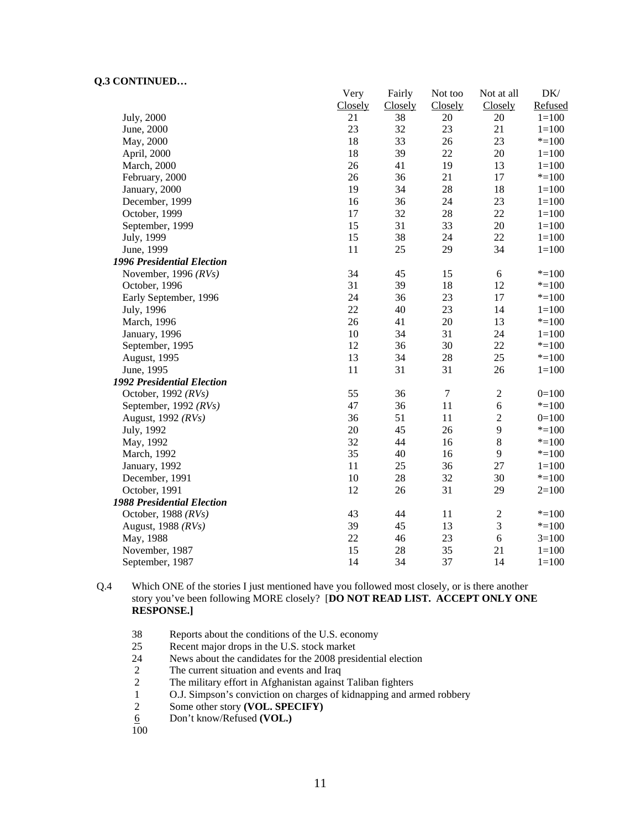|                                   | Very    | Fairly         | Not too          | Not at all       | DK/       |
|-----------------------------------|---------|----------------|------------------|------------------|-----------|
|                                   | Closely | <b>Closely</b> | Closely          | Closely          | Refused   |
| July, 2000                        | 21      | 38             | 20               | 20               | $1 = 100$ |
| June, 2000                        | 23      | 32             | 23               | 21               | $1 = 100$ |
| May, 2000                         | 18      | 33             | 26               | 23               | $*=100$   |
| April, 2000                       | 18      | 39             | 22               | 20               | $1 = 100$ |
| March, 2000                       | 26      | 41             | 19               | 13               | $1 = 100$ |
| February, 2000                    | 26      | 36             | 21               | 17               | $* = 100$ |
| January, 2000                     | 19      | 34             | 28               | 18               | $1 = 100$ |
| December, 1999                    | 16      | 36             | 24               | 23               | $1 = 100$ |
| October, 1999                     | 17      | 32             | 28               | 22               | $1 = 100$ |
| September, 1999                   | 15      | 31             | 33               | $20\,$           | $1 = 100$ |
| July, 1999                        | 15      | 38             | 24               | 22               | $1 = 100$ |
| June, 1999                        | 11      | 25             | 29               | 34               | $1 = 100$ |
| 1996 Presidential Election        |         |                |                  |                  |           |
| November, 1996 $(RVs)$            | 34      | 45             | 15               | 6                | $* = 100$ |
| October, 1996                     | 31      | 39             | 18               | 12               | $* = 100$ |
| Early September, 1996             | 24      | 36             | 23               | 17               | $* = 100$ |
| July, 1996                        | 22      | 40             | 23               | 14               | $1 = 100$ |
| March, 1996                       | 26      | 41             | 20               | 13               | $* = 100$ |
| January, 1996                     | 10      | 34             | 31               | 24               | $1 = 100$ |
| September, 1995                   | 12      | 36             | 30               | 22               | $* = 100$ |
| August, 1995                      | 13      | 34             | 28               | 25               | $* = 100$ |
| June, 1995                        | 11      | 31             | 31               | 26               | $1 = 100$ |
| <b>1992 Presidential Election</b> |         |                |                  |                  |           |
| October, 1992 $(RVs)$             | 55      | 36             | $\boldsymbol{7}$ | $\mathbf{2}$     | $0=100$   |
| September, 1992 (RVs)             | 47      | 36             | 11               | 6                | $* = 100$ |
| August, 1992 (RVs)                | 36      | 51             | 11               | $\boldsymbol{2}$ | $0=100$   |
| July, 1992                        | 20      | 45             | 26               | 9                | $*=100$   |
| May, 1992                         | 32      | 44             | 16               | $\,8\,$          | $* = 100$ |
| March, 1992                       | 35      | 40             | 16               | 9                | $* = 100$ |
| January, 1992                     | 11      | 25             | 36               | 27               | $1 = 100$ |
| December, 1991                    | 10      | 28             | 32               | 30               | $* = 100$ |
| October, 1991                     | 12      | 26             | 31               | 29               | $2=100$   |
| <b>1988 Presidential Election</b> |         |                |                  |                  |           |
| October, 1988 (RVs)               | 43      | 44             | 11               | $\sqrt{2}$       | $* = 100$ |
| August, 1988 (RVs)                | 39      | 45             | 13               | 3                | $* = 100$ |
| May, 1988                         | 22      | 46             | 23               | 6                | $3=100$   |
| November, 1987                    | 15      | 28             | 35               | 21               | $1 = 100$ |
| September, 1987                   | 14      | 34             | 37               | 14               | $1 = 100$ |

Q.4 Which ONE of the stories I just mentioned have you followed most closely, or is there another story you've been following MORE closely? [**DO NOT READ LIST. ACCEPT ONLY ONE RESPONSE.]** 

- 38 Reports about the conditions of the U.S. economy<br>25 Recent maior drops in the U.S. stock market
- 25 Recent major drops in the U.S. stock market<br>24 News about the candidates for the 2008 presi
- News about the candidates for the 2008 presidential election
- 2 The current situation and events and Iraq
- 2 The military effort in Afghanistan against Taliban fighters<br>1 O.J. Simpson's conviction on charges of kidnapping and an
- 1 O.J. Simpson's conviction on charges of kidnapping and armed robbery
- 2 Some other story **(VOL. SPECIFY)**<br>
<u>6</u> Don't know/Refused **(VOL.)**
- 6 Don't know/Refused **(VOL.)**
- 100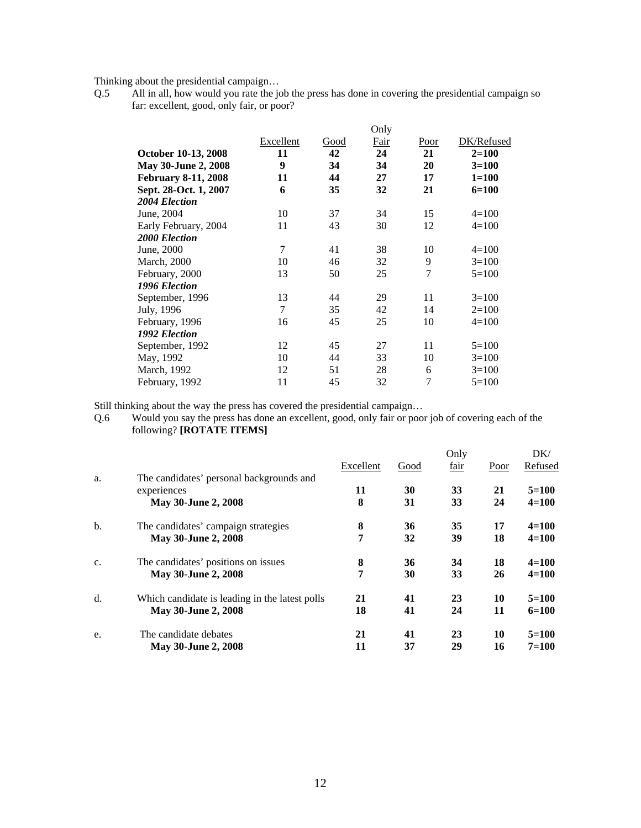Thinking about the presidential campaign…

Q.5 All in all, how would you rate the job the press has done in covering the presidential campaign so far: excellent, good, only fair, or poor?

|                            |                |      | Only        |        |            |
|----------------------------|----------------|------|-------------|--------|------------|
|                            | Excellent      | Good | <u>Fair</u> | Poor   | DK/Refused |
| October 10-13, 2008        | 11             | 42   | 24          | 21     | $2 = 100$  |
| May 30-June 2, 2008        | 9              | 34   | 34          | 20     | $3=100$    |
| <b>February 8-11, 2008</b> | 11             | 44   | 27          | 17     | $1 = 100$  |
| Sept. 28-Oct. 1, 2007      | 6              | 35   | 32          | 21     | 6=100      |
| 2004 Election              |                |      |             |        |            |
| June, 2004                 | 10             | 37   | 34          | 15     | $4=100$    |
| Early February, 2004       | 11             | 43   | 30          | 12     | $4=100$    |
| <b>2000 Election</b>       |                |      |             |        |            |
| June, 2000                 | 7              | 41   | 38          | 10     | $4=100$    |
| <b>March</b> , 2000        | 10             | 46   | 32          | 9      | $3=100$    |
| February, 2000             | 13             | 50   | 25          | $\tau$ | $5=100$    |
| 1996 Election              |                |      |             |        |            |
| September, 1996            | 13             | 44   | 29          | 11     | $3=100$    |
| July, 1996                 | $\overline{7}$ | 35   | 42          | 14     | $2=100$    |
| February, 1996             | 16             | 45   | 25          | 10     | $4=100$    |
| 1992 Election              |                |      |             |        |            |
| September, 1992            | 12             | 45   | 27          | 11     | $5=100$    |
| May, 1992                  | 10             | 44   | 33          | 10     | $3=100$    |
| March, 1992                | 12             | 51   | 28          | 6      | $3=100$    |
| February, 1992             | 11             | 45   | 32          | 7      | $5=100$    |

Still thinking about the way the press has covered the presidential campaign…

Q.6 Would you say the press has done an excellent, good, only fair or poor job of covering each of the following? **[ROTATE ITEMS]** 

| a.             | The candidates' personal backgrounds and       | Excellent | Good | Only<br>fair | Poor | DK/<br>Refused |
|----------------|------------------------------------------------|-----------|------|--------------|------|----------------|
|                | experiences                                    | 11        | 30   | 33           | 21   | $5=100$        |
|                | May 30-June 2, 2008                            | 8         | 31   | 33           | 24   | $4 = 100$      |
| $b$            | The candidates' campaign strategies            | 8         | 36   | 35           | 17   | $4 = 100$      |
|                | May 30-June 2, 2008                            | 7         | 32   | 39           | 18   | $4 = 100$      |
| C <sub>1</sub> | The candidates' positions on issues            | 8         | 36   | 34           | 18   | $4 = 100$      |
|                | May 30-June 2, 2008                            | 7         | 30   | 33           | 26   | $4 = 100$      |
| d.             | Which candidate is leading in the latest polls | 21        | 41   | 23           | 10   | $5=100$        |
|                | May 30-June 2, 2008                            | 18        | 41   | 24           | 11   | $6=100$        |
| e.             | The candidate debates                          | 21        | 41   | 23           | 10   | $5 = 100$      |
|                | <b>May 30-June 2, 2008</b>                     | 11        | 37   | 29           | 16   | $7 = 100$      |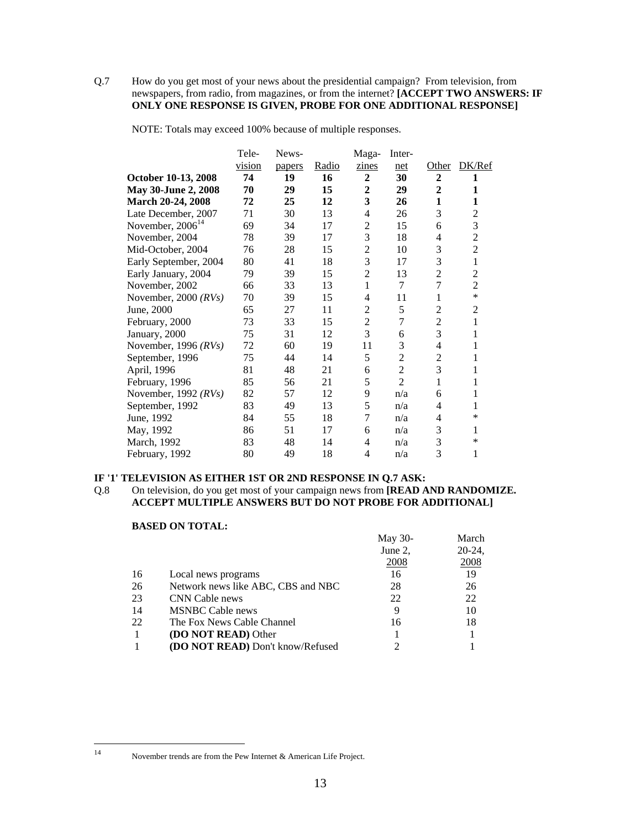## Q.7 How do you get most of your news about the presidential campaign? From television, from newspapers, from radio, from magazines, or from the internet? **[ACCEPT TWO ANSWERS: IF ONLY ONE RESPONSE IS GIVEN, PROBE FOR ONE ADDITIONAL RESPONSE]**

NOTE: Totals may exceed 100% because of multiple responses.

|                        | Tele-                 | News-  |       | Maga-            | Inter-         |                |                |
|------------------------|-----------------------|--------|-------|------------------|----------------|----------------|----------------|
|                        | vision                | papers | Radio | zines            | net            | Other          | DK/Ref         |
| October 10-13, 2008    | 74                    | 19     | 16    | $\overline{2}$   | 30             | $\overline{2}$ | 1              |
| May 30-June 2, 2008    | 70                    | 29     | 15    | $\boldsymbol{2}$ | 29             | $\overline{2}$ | 1              |
| March 20-24, 2008      | 72                    | 25     | 12    | 3                | 26             | 1              | 1              |
| Late December, 2007    | 71                    | 30     | 13    | 4                | 26             | 3              | $\overline{2}$ |
|                        | 69                    | 34     | 17    | $\overline{c}$   | 15             | 6              | 3              |
| November, 2004         | 78                    | 39     | 17    | 3                | 18             | $\overline{4}$ | $\overline{c}$ |
| Mid-October, 2004      | 76                    | 28     | 15    | $\overline{2}$   | 10             | 3              | $\overline{c}$ |
| Early September, 2004  | 80                    | 41     | 18    |                  | 17             | 3              | $\mathbf{1}$   |
| Early January, 2004    | 79                    | 39     | 15    | $\overline{2}$   | 13             | 2              | $\overline{c}$ |
| November, 2002         | 66                    | 33     | 13    | 1                | 7              | 7              | $\overline{2}$ |
| November, 2000 $(RVs)$ | 70                    | 39     | 15    | 4                | 11             | 1              | $\ast$         |
| June, 2000             | 65                    | 27     | 11    | $\overline{2}$   | 5              | $\overline{2}$ | $\overline{2}$ |
| February, 2000         | 73                    | 33     | 15    | $\overline{2}$   | $\overline{7}$ | $\overline{c}$ | 1              |
| January, 2000          | 75                    | 31     | 12    | 3                | 6              | 3              | 1              |
| November, 1996 $(RVs)$ | 72                    | 60     | 19    | 11               | 3              | 4              | 1              |
| September, 1996        | 75                    | 44     | 14    | 5                | $\overline{2}$ | 2              | 1              |
| April, 1996            | 81                    | 48     | 21    | 6                | $\overline{2}$ | 3              | 1              |
| February, 1996         | 85                    | 56     | 21    | 5                | $\overline{2}$ | 1              | 1              |
| November, 1992 (RVs)   | 82                    | 57     | 12    | 9                | n/a            | 6              | 1              |
| September, 1992        | 83                    | 49     | 13    | 5                | n/a            | 4              | 1              |
| June, 1992             | 84                    | 55     | 18    | $\overline{7}$   | n/a            | 4              | *              |
| May, 1992              | 86                    | 51     | 17    | 6                | n/a            | 3              | 1              |
| March, 1992            | 83                    | 48     | 14    | 4                | n/a            | 3              | $\ast$         |
| February, 1992         | 80                    | 49     | 18    | 4                | n/a            | 3              | 1              |
|                        | November, $2006^{14}$ |        |       |                  | 3              |                |                |

## **IF '1' TELEVISION AS EITHER 1ST OR 2ND RESPONSE IN Q.7 ASK:**

Q.8 On television, do you get most of your campaign news from **[READ AND RANDOMIZE. ACCEPT MULTIPLE ANSWERS BUT DO NOT PROBE FOR ADDITIONAL]**

## **BASED ON TOTAL:**

|    |                                    | May 30- | March     |
|----|------------------------------------|---------|-----------|
|    |                                    | June 2, | $20-24$ , |
|    |                                    | 2008    | 2008      |
| 16 | Local news programs                | 16      | 19        |
| 26 | Network news like ABC, CBS and NBC | 28      | 26        |
| 23 | CNN Cable news                     | 22      | 22        |
| 14 | <b>MSNBC Cable news</b>            | 9       | 10        |
| 22 | The Fox News Cable Channel         | 16      | 18        |
|    | <b>(DO NOT READ)</b> Other         |         |           |
|    | (DO NOT READ) Don't know/Refused   |         |           |

 $14$ 

November trends are from the Pew Internet & American Life Project.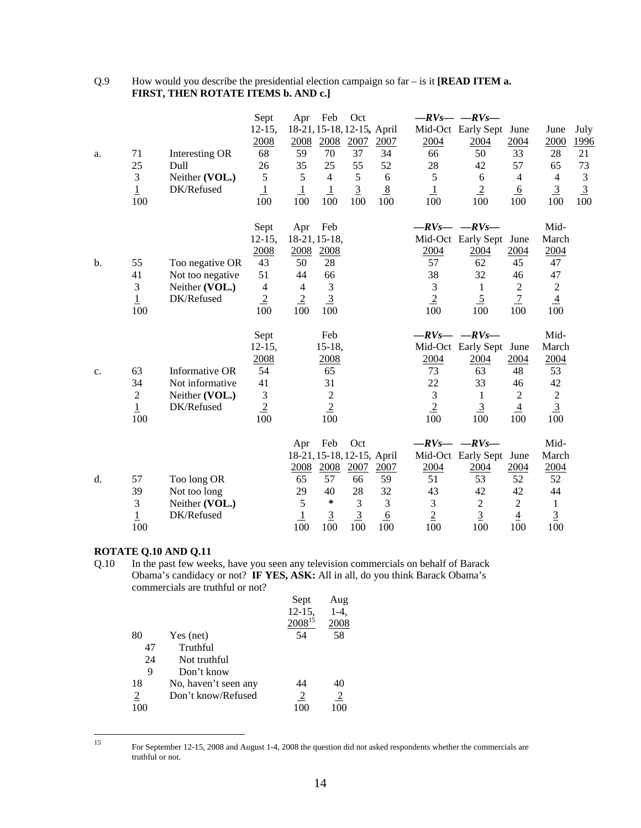| Q.9 | How would you describe the presidential election campaign so $far - is it$ [ <b>READ ITEM a.</b> |
|-----|--------------------------------------------------------------------------------------------------|
|     | <b>FIRST, THEN ROTATE ITEMS b. AND c.]</b>                                                       |

| a. | 71<br>25<br>$\mathfrak{Z}$<br>$\overline{1}$<br>100 | Interesting OR<br>Dull<br>Neither (VOL.)<br>DK/Refused              | Sept<br>$12 - 15$ ,<br>2008<br>68<br>26<br>5<br>$\overline{1}$<br>100            | Feb<br>Apr<br>18-21, 15-18, 12-15, April<br>2008<br>2008<br>59<br>70<br>35<br>25<br>5<br>$\overline{4}$<br>$\perp$<br>$\overline{1}$<br>100<br>100 | Oct<br>2007<br>37<br>55<br>5<br>$\overline{3}$<br>100 | 2007<br>34<br>52<br>6<br>8<br>100 | 2004<br>66<br>28<br>5<br>$\overline{1}$<br>100 | $-RV_S$ -RVs<br>Mid-Oct Early Sept<br>2004<br>50<br>42<br>6<br>$\overline{2}$<br>100                        | June<br>2004<br>33<br>57<br>$\overline{4}$<br>$6 \overline{6}$<br>100 | June<br>2000<br>28<br>65<br>$\overline{4}$<br>$\overline{3}$<br>100      | July<br>1996<br>21<br>73<br>$\mathfrak{Z}$<br>$\overline{3}$<br>100 |
|----|-----------------------------------------------------|---------------------------------------------------------------------|----------------------------------------------------------------------------------|----------------------------------------------------------------------------------------------------------------------------------------------------|-------------------------------------------------------|-----------------------------------|------------------------------------------------|-------------------------------------------------------------------------------------------------------------|-----------------------------------------------------------------------|--------------------------------------------------------------------------|---------------------------------------------------------------------|
| b. | 55<br>41<br>3<br>$\mathbf 1$<br>100                 | Too negative OR<br>Not too negative<br>Neither (VOL.)<br>DK/Refused | Sept<br>$12-15$ ,<br>2008<br>43<br>51<br>$\overline{4}$<br>$\overline{2}$<br>100 | Feb<br>Apr<br>18-21, 15-18,<br>2008<br>2008<br>50<br>28<br>44<br>66<br>3<br>$\overline{4}$<br>$\overline{2}$<br>$\overline{3}$<br>100<br>100       |                                                       |                                   | 2004<br>57<br>38<br>3<br>$\overline{2}$<br>100 | $-RV_S$ - $-RV_S$ -<br>Mid-Oct Early Sept<br>2004<br>62<br>32<br>$\mathbf{1}$<br>$\overline{5}$<br>100      | June<br>2004<br>45<br>46<br>$\sqrt{2}$<br>$\overline{1}$<br>100       | Mid-<br>March<br>2004<br>47<br>47<br>$\sqrt{2}$<br>$\overline{4}$<br>100 |                                                                     |
| c. | 63<br>34<br>$\sqrt{2}$<br>$\overline{1}$<br>100     | Informative OR<br>Not informative<br>Neither (VOL.)<br>DK/Refused   | Sept<br>$12-15,$<br>2008<br>54<br>41<br>$\mathfrak{Z}$<br>$\overline{2}$<br>100  | Feb<br>$15-18,$<br>2008<br>65<br>31<br>$\boldsymbol{2}$<br>$\overline{2}$<br>100                                                                   |                                                       |                                   | 2004<br>73<br>22<br>3<br>$\overline{2}$<br>100 | $-RV_S$ - $-RV_S$ -<br>Mid-Oct Early Sept June<br>2004<br>63<br>33<br>$\mathbf{1}$<br>$\overline{3}$<br>100 | 2004<br>48<br>46<br>$\sqrt{2}$<br>$\overline{4}$<br>100               | Mid-<br>March<br>2004<br>53<br>42<br>$\sqrt{2}$<br>$\overline{3}$<br>100 |                                                                     |
| d. | 57<br>39<br>$\mathfrak{Z}$                          | Too long OR<br>Not too long<br>Neither (VOL.)                       |                                                                                  | Feb<br>Apr<br>18-21, 15-18, 12-15, April<br>2008<br>2008<br>65<br>57<br>29<br>40<br>5<br>$\ast$                                                    | Oct<br>2007<br>66<br>28<br>3                          | 2007<br>59<br>32<br>3             | 2004<br>51<br>43<br>$\mathfrak 3$              | $-RV_S$ - $-RV_S$<br>Mid-Oct Early Sept<br>2004<br>53<br>42<br>$\sqrt{2}$                                   | June<br>2004<br>52<br>42<br>$\sqrt{2}$                                | Mid-<br>March<br>2004<br>52<br>44<br>$\mathbf{1}$                        |                                                                     |

 $15\,$ 

**ROTATE Q.10 AND Q.11**<br>Q.10 In the past few wee Q.10 In the past few weeks, have you seen any television commercials on behalf of Barack Obama's candidacy or not? **IF YES, ASK:** All in all, do you think Barack Obama's commercials are truthful or not?

|     |                      | Sept        | Aug            |
|-----|----------------------|-------------|----------------|
|     |                      | $12 - 15$ , | 1-4.           |
|     |                      | $2008^{15}$ | 2008           |
| 80  | Yes (net)            | 54          | 58             |
| 47  | Truthful             |             |                |
| 24  | Not truthful         |             |                |
| 9   | Don't know           |             |                |
| 18  | No, haven't seen any | 44          | 40             |
| 2   | Don't know/Refused   | 2           | $\overline{2}$ |
| 100 |                      |             | 100            |
|     |                      |             |                |

<sup>15</sup> For September 12-15, 2008 and August 1-4, 2008 the question did not asked respondents whether the commercials are truthful or not.